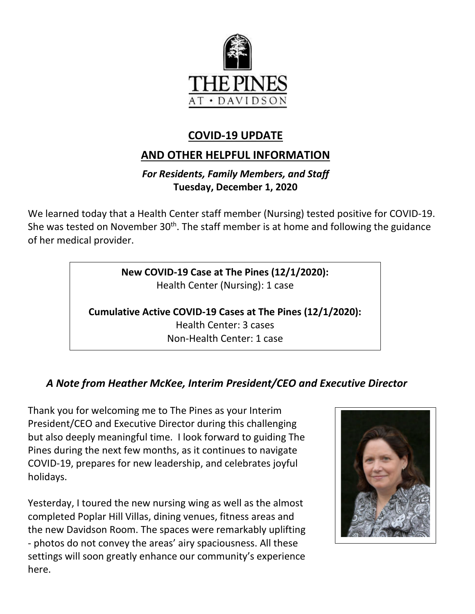

## **COVID-19 UPDATE**

# **AND OTHER HELPFUL INFORMATION**

### *For Residents, Family Members, and Staff* **Tuesday, December 1, 2020**

We learned today that a Health Center staff member (Nursing) tested positive for COVID-19. She was tested on November  $30<sup>th</sup>$ . The staff member is at home and following the guidance of her medical provider.

> **New COVID-19 Case at The Pines (12/1/2020):**  Health Center (Nursing): 1 case

**Cumulative Active COVID-19 Cases at The Pines (12/1/2020):** Health Center: 3 cases Non-Health Center: 1 case

## *A Note from Heather McKee, Interim President/CEO and Executive Director*

Thank you for welcoming me to The Pines as your Interim President/CEO and Executive Director during this challenging but also deeply meaningful time. I look forward to guiding The Pines during the next few months, as it continues to navigate COVID-19, prepares for new leadership, and celebrates joyful holidays.

Yesterday, I toured the new nursing wing as well as the almost completed Poplar Hill Villas, dining venues, fitness areas and the new Davidson Room. The spaces were remarkably uplifting - photos do not convey the areas' airy spaciousness. All these settings will soon greatly enhance our community's experience here.

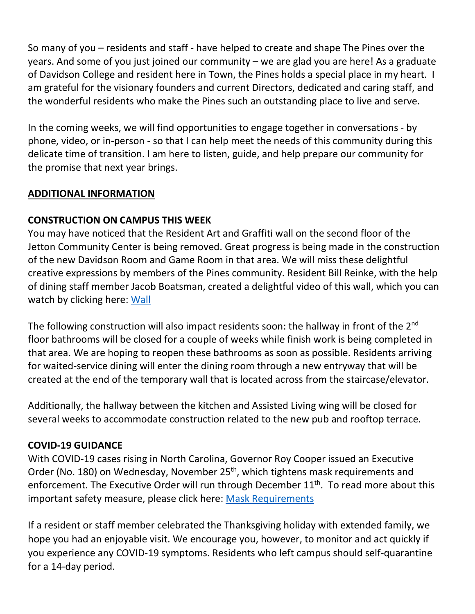So many of you – residents and staff - have helped to create and shape The Pines over the years. And some of you just joined our community – we are glad you are here! As a graduate of Davidson College and resident here in Town, the Pines holds a special place in my heart. I am grateful for the visionary founders and current Directors, dedicated and caring staff, and the wonderful residents who make the Pines such an outstanding place to live and serve.

In the coming weeks, we will find opportunities to engage together in conversations - by phone, video, or in-person - so that I can help meet the needs of this community during this delicate time of transition. I am here to listen, guide, and help prepare our community for the promise that next year brings.

#### **ADDITIONAL INFORMATION**

#### **CONSTRUCTION ON CAMPUS THIS WEEK**

You may have noticed that the Resident Art and Graffiti wall on the second floor of the Jetton Community Center is being removed. Great progress is being made in the construction of the new Davidson Room and Game Room in that area. We will miss these delightful creative expressions by members of the Pines community. Resident Bill Reinke, with the help of dining staff member Jacob Boatsman, created a delightful video of this wall, which you can watch by clicking here: [Wall](https://youtu.be/T4MP9yAgfOY)

The following construction will also impact residents soon: the hallway in front of the 2<sup>nd</sup> floor bathrooms will be closed for a couple of weeks while finish work is being completed in that area. We are hoping to reopen these bathrooms as soon as possible. Residents arriving for waited-service dining will enter the dining room through a new entryway that will be created at the end of the temporary wall that is located across from the staircase/elevator.

Additionally, the hallway between the kitchen and Assisted Living wing will be closed for several weeks to accommodate construction related to the new pub and rooftop terrace.

#### **COVID-19 GUIDANCE**

With COVID-19 cases rising in North Carolina, Governor Roy Cooper issued an Executive Order (No. 180) on Wednesday, November 25<sup>th</sup>, which tightens mask requirements and enforcement. The Executive Order will run through December 11<sup>th</sup>. To read more about this important safety measure, please click here: [Mask Requirements](https://governor.nc.gov/news/cases-rising-rapidly-north-carolina-tightens-existing-mask-requirements-and-enforcement)

If a resident or staff member celebrated the Thanksgiving holiday with extended family, we hope you had an enjoyable visit. We encourage you, however, to monitor and act quickly if you experience any COVID-19 symptoms. Residents who left campus should self-quarantine for a 14-day period.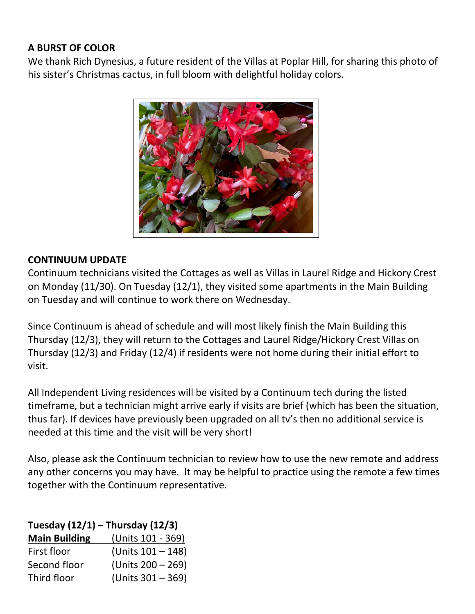#### **A BURST OF COLOR**

We thank Rich Dynesius, a future resident of the Villas at Poplar Hill, for sharing this photo of his sister's Christmas cactus, in full bloom with delightful holiday colors.



### **CONTINUUM UPDATE**

Continuum technicians visited the Cottages as well as Villas in Laurel Ridge and Hickory Crest on Monday (11/30). On Tuesday (12/1), they visited some apartments in the Main Building on Tuesday and will continue to work there on Wednesday.

Since Continuum is ahead of schedule and will most likely finish the Main Building this Thursday (12/3), they will return to the Cottages and Laurel Ridge/Hickory Crest Villas on Thursday (12/3) and Friday (12/4) if residents were not home during their initial effort to visit.

All Independent Living residences will be visited by a Continuum tech during the listed timeframe, but a technician might arrive early if visits are brief (which has been the situation, thus far). If devices have previously been upgraded on all tv's then no additional service is needed at this time and the visit will be very short!

Also, please ask the Continuum technician to review how to use the new remote and address any other concerns you may have. It may be helpful to practice using the remote a few times together with the Continuum representative.

**Tuesday (12/1) – Thursday (12/3)**

| <b>Main Building</b> | (Units 101 - 369) |
|----------------------|-------------------|
| First floor          | (Units 101 - 148) |
| Second floor         | (Units 200 - 269) |
| Third floor          | (Units 301 - 369) |